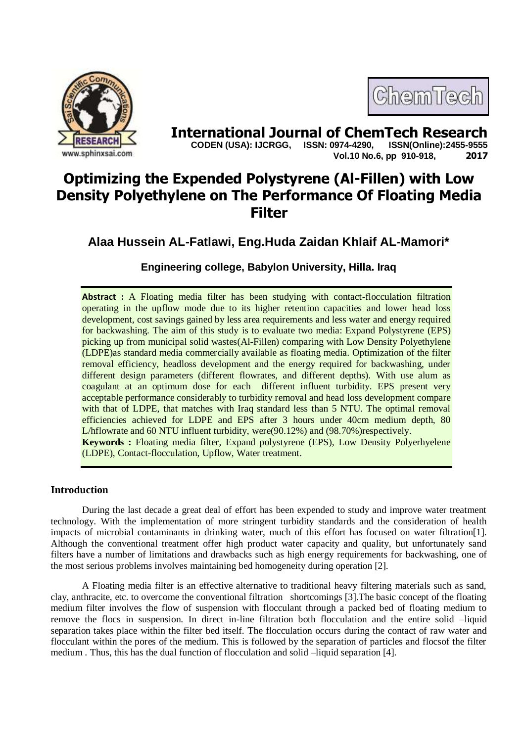



**International Journal of ChemTech Research copen (USA): IJCRGG.** ISSN: 0974-4290. ISSN(Online):2455-9555  **CODEN (USA): IJCRGG, ISSN: 0974-4290, Vol.10 No.6, pp 910-918, 2017**

# **Optimizing the Expended Polystyrene (Al-Fillen) with Low Density Polyethylene on The Performance Of Floating Media Filter**

## **Alaa Hussein AL-Fatlawi, Eng.Huda Zaidan Khlaif AL-Mamori\***

## **Engineering college, Babylon University, Hilla. Iraq**

**Abstract :** A Floating media filter has been studying with contact-flocculation filtration operating in the upflow mode due to its higher retention capacities and lower head loss development, cost savings gained by less area requirements and less water and energy required for backwashing. The aim of this study is to evaluate two media: Expand Polystyrene (EPS) picking up from municipal solid wastes(Al-Fillen) comparing with Low Density Polyethylene (LDPE)as standard media commercially available as floating media. Optimization of the filter removal efficiency, headloss development and the energy required for backwashing, under different design parameters (different flowrates, and different depths). With use alum as coagulant at an optimum dose for each different influent turbidity. EPS present very acceptable performance considerably to turbidity removal and head loss development compare with that of LDPE, that matches with Iraq standard less than 5 NTU. The optimal removal efficiencies achieved for LDPE and EPS after 3 hours under 40cm medium depth, 80 L/hflowrate and 60 NTU influent turbidity, were(90.12%) and (98.70%)respectively. **Keywords :** Floating media filter, Expand polystyrene (EPS), Low Density Polyerhyelene (LDPE), Contact-flocculation, Upflow, Water treatment.

## **Introduction**

During the last decade a great deal of effort has been expended to study and improve water treatment technology. With the implementation of more stringent turbidity standards and the consideration of health impacts of microbial contaminants in drinking water, much of this effort has focused on water filtration[1]. Although the conventional treatment offer high product water capacity and quality, but unfortunately sand filters have a number of limitations and drawbacks such as high energy requirements for backwashing, one of the most serious problems involves maintaining bed homogeneity during operation [2].

A Floating media filter is an effective alternative to traditional heavy filtering materials such as sand, clay, anthracite, etc. to overcome the conventional filtration shortcomings [3].The basic concept of the floating medium filter involves the flow of suspension with flocculant through a packed bed of floating medium to remove the flocs in suspension. In direct in-line filtration both flocculation and the entire solid –liquid separation takes place within the filter bed itself. The flocculation occurs during the contact of raw water and flocculant within the pores of the medium. This is followed by the separation of particles and flocsof the filter medium . Thus, this has the dual function of flocculation and solid –liquid separation [4].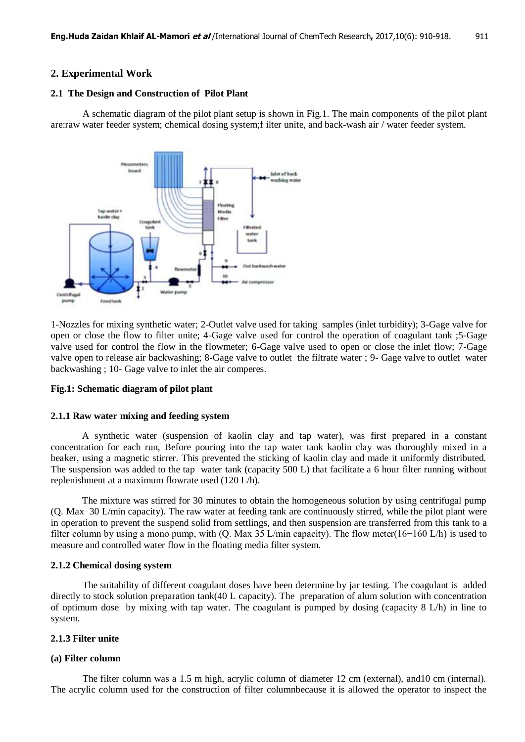### **2. Experimental Work**

#### **2.1 The Design and Construction of Pilot Plant**

A schematic diagram of the pilot plant setup is shown in Fig.1. The main components of the pilot plant are:raw water feeder system; chemical dosing system;f ilter unite, and back-wash air / water feeder system.



1-Nozzles for mixing synthetic water; 2-Outlet valve used for taking samples (inlet turbidity); 3-Gage valve for open or close the flow to filter unite; 4-Gage valve used for control the operation of coagulant tank ;5-Gage valve used for control the flow in the flowmeter; 6-Gage valve used to open or close the inlet flow; 7-Gage valve open to release air backwashing; 8-Gage valve to outlet the filtrate water ; 9- Gage valve to outlet water backwashing ; 10- Gage valve to inlet the air comperes.

#### **Fig.1: Schematic diagram of pilot plant**

#### **2.1.1 Raw water mixing and feeding system**

A synthetic water (suspension of kaolin clay and tap water), was first prepared in a constant concentration for each run, Before pouring into the tap water tank kaolin clay was thoroughly mixed in a beaker, using a magnetic stirrer. This prevented the sticking of kaolin clay and made it uniformly distributed. The suspension was added to the tap water tank (capacity 500 L) that facilitate a 6 hour filter running without replenishment at a maximum flowrate used (120 L/h).

The mixture was stirred for 30 minutes to obtain the homogeneous solution by using centrifugal pump (Q. Max 30 L/min capacity). The raw water at feeding tank are continuously stirred, while the pilot plant were in operation to prevent the suspend solid from settlings, and then suspension are transferred from this tank to a filter column by using a mono pump, with (Q. Max 35 L/min capacity). The flow meter(16−160 L/h) is used to measure and controlled water flow in the floating media filter system.

#### **2.1.2 Chemical dosing system**

The suitability of different coagulant doses have been determine by jar testing. The coagulant is added directly to stock solution preparation tank(40 L capacity). The preparation of alum solution with concentration of optimum dose by mixing with tap water. The coagulant is pumped by dosing (capacity 8 L/h) in line to system.

#### **2.1.3 Filter unite**

#### **(a) Filter column**

The filter column was a 1.5 m high, acrylic column of diameter 12 cm (external), and10 cm (internal). The acrylic column used for the construction of filter columnbecause it is allowed the operator to inspect the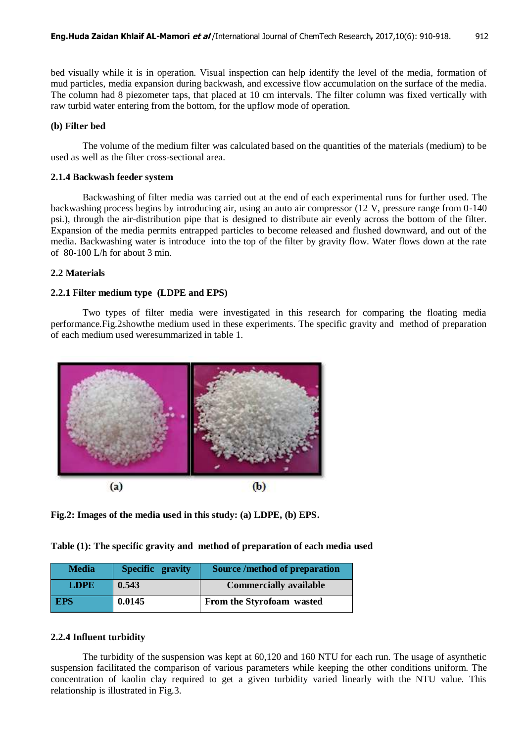bed visually while it is in operation. Visual inspection can help identify the level of the media, formation of mud particles, media expansion during backwash, and excessive flow accumulation on the surface of the media. The column had 8 piezometer taps, that placed at 10 cm intervals. The filter column was fixed vertically with raw turbid water entering from the bottom, for the upflow mode of operation.

#### **(b) Filter bed**

The volume of the medium filter was calculated based on the quantities of the materials (medium) to be used as well as the filter cross-sectional area.

#### **2.1.4 Backwash feeder system**

Backwashing of filter media was carried out at the end of each experimental runs for further used. The backwashing process begins by introducing air, using an auto air compressor (12 V, pressure range from 0-140 psi.), through the air-distribution pipe that is designed to distribute air evenly across the bottom of the filter. Expansion of the media permits entrapped particles to become released and flushed downward, and out of the media. Backwashing water is introduce into the top of the filter by gravity flow. Water flows down at the rate of 80-100 L/h for about 3 min.

#### **2.2 Materials**

#### **2.2.1 Filter medium type (LDPE and EPS)**

Two types of filter media were investigated in this research for comparing the floating media performance.Fig.2showthe medium used in these experiments. The specific gravity and method of preparation of each medium used weresummarized in table 1.



**Fig.2: Images of the media used in this study: (a) LDPE, (b) EPS.**

**Table (1): The specific gravity and method of preparation of each media used** 

| <b>Media</b> | Specific gravity | <b>Source /method of preparation</b> |
|--------------|------------------|--------------------------------------|
| <b>LDPE</b>  | 0.543            | <b>Commercially available</b>        |
| <b>EPS</b>   | 0.0145           | From the Styrofoam wasted            |

## **2.2.4 Influent turbidity**

The turbidity of the suspension was kept at 60,120 and 160 NTU for each run. The usage of asynthetic suspension facilitated the comparison of various parameters while keeping the other conditions uniform. The concentration of kaolin clay required to get a given turbidity varied linearly with the NTU value. This relationship is illustrated in Fig.3.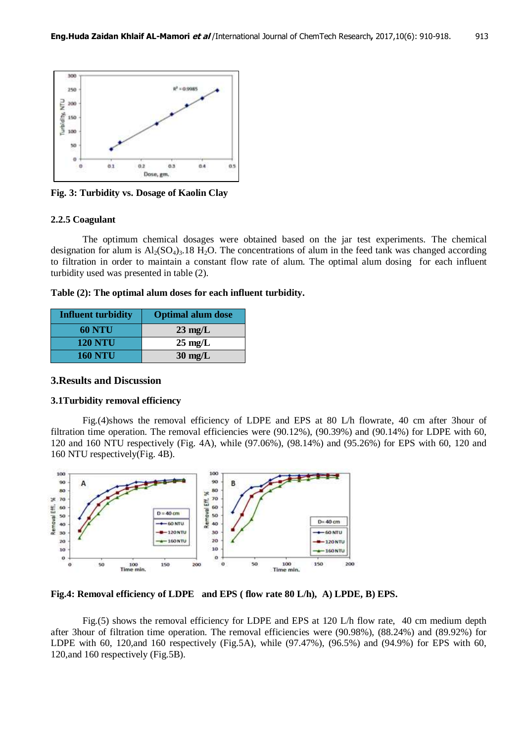

**Fig. 3: Turbidity vs. Dosage of Kaolin Clay**

#### **2.2.5 Coagulant**

The optimum chemical dosages were obtained based on the jar test experiments. The chemical designation for alum is  $Al_2(SO_4)_3.18 H_2O$ . The concentrations of alum in the feed tank was changed according to filtration in order to maintain a constant flow rate of alum. The optimal alum dosing for each influent turbidity used was presented in table (2).

**Table (2): The optimal alum doses for each influent turbidity.**

| <b>Influent turbidity</b> | <b>Optimal alum dose</b> |
|---------------------------|--------------------------|
| <b>60 NTU</b>             | $23 \text{ mg/L}$        |
| <b>120 NTU</b>            | $25 \text{ mg/L}$        |
| <b>160 NTU</b>            | $30 \text{ mg/L}$        |

## **3.Results and Discussion**

## **3.1Turbidity removal efficiency**

Fig.(4)shows the removal efficiency of LDPE and EPS at 80 L/h flowrate, 40 cm after 3hour of filtration time operation. The removal efficiencies were (90.12%), (90.39%) and (90.14%) for LDPE with 60, 120 and 160 NTU respectively (Fig. 4A), while (97.06%), (98.14%) and (95.26%) for EPS with 60, 120 and 160 NTU respectively(Fig. 4B).



**Fig.4: Removal efficiency of LDPE and EPS ( flow rate 80 L/h), A) LPDE, B) EPS.**

Fig.(5) shows the removal efficiency for LDPE and EPS at 120 L/h flow rate, 40 cm medium depth after 3hour of filtration time operation. The removal efficiencies were (90.98%), (88.24%) and (89.92%) for LDPE with 60, 120,and 160 respectively (Fig.5A), while (97.47%), (96.5%) and (94.9%) for EPS with 60, 120,and 160 respectively (Fig.5B).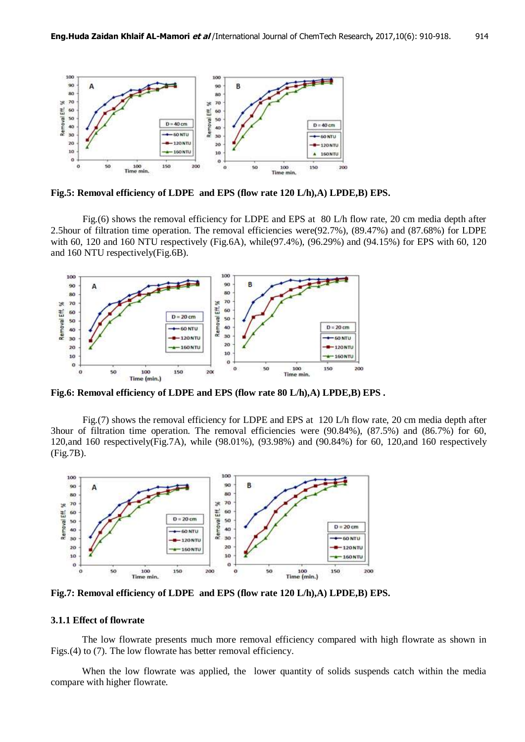

**Fig.5: Removal efficiency of LDPE and EPS (flow rate 120 L/h),A) LPDE,B) EPS.**

Fig.(6) shows the removal efficiency for LDPE and EPS at 80 L/h flow rate, 20 cm media depth after 2.5hour of filtration time operation. The removal efficiencies were(92.7%), (89.47%) and (87.68%) for LDPE with 60, 120 and 160 NTU respectively (Fig.6A), while(97.4%), (96.29%) and (94.15%) for EPS with 60, 120 and 160 NTU respectively(Fig.6B).



**Fig.6: Removal efficiency of LDPE and EPS (flow rate 80 L/h),A) LPDE,B) EPS .**

Fig.(7) shows the removal efficiency for LDPE and EPS at 120 L/h flow rate, 20 cm media depth after 3hour of filtration time operation. The removal efficiencies were (90.84%), (87.5%) and (86.7%) for 60, 120,and 160 respectively(Fig.7A), while (98.01%), (93.98%) and (90.84%) for 60, 120,and 160 respectively (Fig.7B).



**Fig.7: Removal efficiency of LDPE and EPS (flow rate 120 L/h),A) LPDE,B) EPS.**

## **3.1.1 Effect of flowrate**

The low flowrate presents much more removal efficiency compared with high flowrate as shown in Figs.(4) to (7). The low flowrate has better removal efficiency.

When the low flowrate was applied, the lower quantity of solids suspends catch within the media compare with higher flowrate.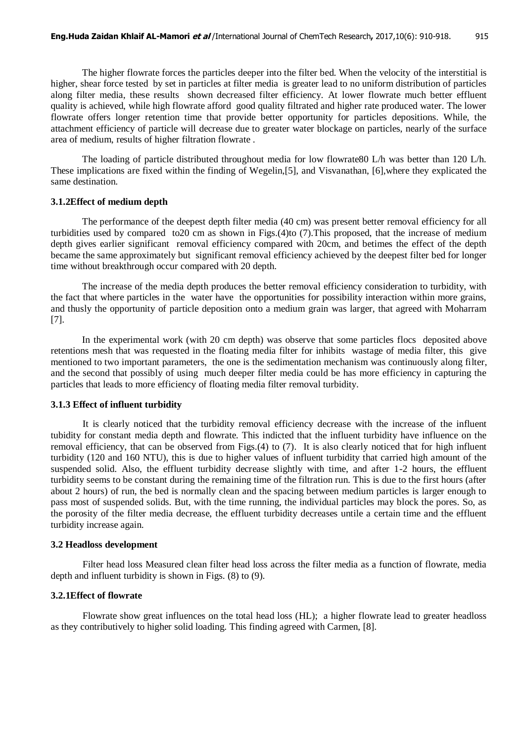The higher flowrate forces the particles deeper into the filter bed. When the velocity of the interstitial is higher, shear force tested by set in particles at filter media is greater lead to no uniform distribution of particles along filter media, these results shown decreased filter efficiency. At lower flowrate much better effluent quality is achieved, while high flowrate afford good quality filtrated and higher rate produced water. The lower flowrate offers longer retention time that provide better opportunity for particles depositions. While, the attachment efficiency of particle will decrease due to greater water blockage on particles, nearly of the surface area of medium, results of higher filtration flowrate .

The loading of particle distributed throughout media for low flowrate80 L/h was better than 120 L/h. These implications are fixed within the finding of Wegelin,[5], and Visvanathan, [6],where they explicated the same destination.

#### **3.1.2Effect of medium depth**

The performance of the deepest depth filter media (40 cm) was present better removal efficiency for all turbidities used by compared to20 cm as shown in Figs.(4)to (7).This proposed, that the increase of medium depth gives earlier significant removal efficiency compared with 20cm, and betimes the effect of the depth became the same approximately but significant removal efficiency achieved by the deepest filter bed for longer time without breakthrough occur compared with 20 depth.

The increase of the media depth produces the better removal efficiency consideration to turbidity, with the fact that where particles in the water have the opportunities for possibility interaction within more grains, and thusly the opportunity of particle deposition onto a medium grain was larger, that agreed with Moharram [7].

In the experimental work (with 20 cm depth) was observe that some particles flocs deposited above retentions mesh that was requested in the floating media filter for inhibits wastage of media filter, this give mentioned to two important parameters, the one is the sedimentation mechanism was continuously along filter, and the second that possibly of using much deeper filter media could be has more efficiency in capturing the particles that leads to more efficiency of floating media filter removal turbidity.

#### **3.1.3 Effect of influent turbidity**

It is clearly noticed that the turbidity removal efficiency decrease with the increase of the influent tubidity for constant media depth and flowrate. This indicted that the influent turbidity have influence on the removal efficiency, that can be observed from Figs.(4) to (7). It is also clearly noticed that for high influent turbidity (120 and 160 NTU), this is due to higher values of influent turbidity that carried high amount of the suspended solid. Also, the effluent turbidity decrease slightly with time, and after 1-2 hours, the effluent turbidity seems to be constant during the remaining time of the filtration run. This is due to the first hours (after about 2 hours) of run, the bed is normally clean and the spacing between medium particles is larger enough to pass most of suspended solids. But, with the time running, the individual particles may block the pores. So, as the porosity of the filter media decrease, the effluent turbidity decreases untile a certain time and the effluent turbidity increase again.

## **3.2 Headloss development**

Filter head loss Measured clean filter head loss across the filter media as a function of flowrate, media depth and influent turbidity is shown in Figs. (8) to (9).

#### **3.2.1Effect of flowrate**

Flowrate show great influences on the total head loss (HL); a higher flowrate lead to greater headloss as they contributively to higher solid loading. This finding agreed with Carmen, [8].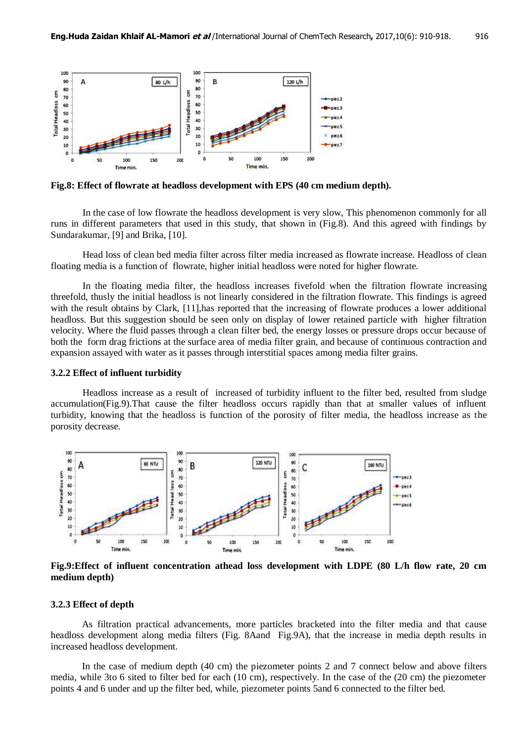

**Fig.8: Effect of flowrate at headloss development with EPS (40 cm medium depth).**

In the case of low flowrate the headloss development is very slow, This phenomenon commonly for all runs in different parameters that used in this study, that shown in (Fig.8). And this agreed with findings by Sundarakumar, [9] and Brika, [10].

Head loss of clean bed media filter across filter media increased as flowrate increase. Headloss of clean floating media is a function of flowrate, higher initial headloss were noted for higher flowrate.

In the floating media filter, the headloss increases fivefold when the filtration flowrate increasing threefold, thusly the initial headloss is not linearly considered in the filtration flowrate. This findings is agreed with the result obtains by Clark, [11], has reported that the increasing of flowrate produces a lower additional headloss. But this suggestion should be seen only on display of lower retained particle with higher filtration velocity. Where the fluid passes through a clean filter bed, the energy losses or pressure drops occur because of both the form drag frictions at the surface area of media filter grain, and because of continuous contraction and expansion assayed with water as it passes through interstitial spaces among media filter grains.

#### **3.2.2 Effect of influent turbidity**

Headloss increase as a result of increased of turbidity influent to the filter bed, resulted from sludge accumulation(Fig.9).That cause the filter headloss occurs rapidly than that at smaller values of influent turbidity, knowing that the headloss is function of the porosity of filter media, the headloss increase as the porosity decrease.



**Fig.9:Effect of influent concentration athead loss development with LDPE (80 L/h flow rate, 20 cm medium depth)**

#### **3.2.3 Effect of depth**

As filtration practical advancements, more particles bracketed into the filter media and that cause headloss development along media filters (Fig. 8Aand Fig.9A), that the increase in media depth results in increased headloss development.

In the case of medium depth (40 cm) the piezometer points 2 and 7 connect below and above filters media, while 3to 6 sited to filter bed for each (10 cm), respectively. In the case of the (20 cm) the piezometer points 4 and 6 under and up the filter bed, while, piezometer points 5and 6 connected to the filter bed.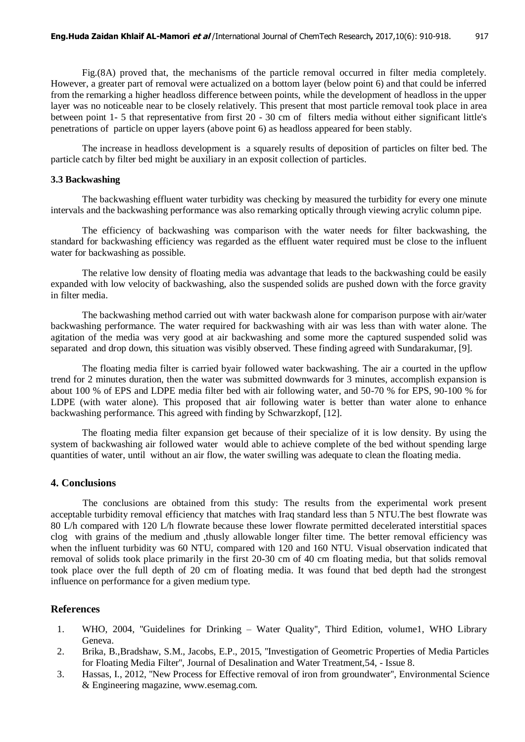Fig.(8A) proved that, the mechanisms of the particle removal occurred in filter media completely. However, a greater part of removal were actualized on a bottom layer (below point 6) and that could be inferred from the remarking a higher headloss difference between points, while the development of headloss in the upper layer was no noticeable near to be closely relatively. This present that most particle removal took place in area between point 1- 5 that representative from first 20 - 30 cm of filters media without either significant little's penetrations of particle on upper layers (above point 6) as headloss appeared for been stably.

The increase in headloss development is a squarely results of deposition of particles on filter bed. The particle catch by filter bed might be auxiliary in an exposit collection of particles.

#### **3.3 Backwashing**

The backwashing effluent water turbidity was checking by measured the turbidity for every one minute intervals and the backwashing performance was also remarking optically through viewing acrylic column pipe.

The efficiency of backwashing was comparison with the water needs for filter backwashing, the standard for backwashing efficiency was regarded as the effluent water required must be close to the influent water for backwashing as possible.

The relative low density of floating media was advantage that leads to the backwashing could be easily expanded with low velocity of backwashing, also the suspended solids are pushed down with the force gravity in filter media.

The backwashing method carried out with water backwash alone for comparison purpose with air/water backwashing performance. The water required for backwashing with air was less than with water alone. The agitation of the media was very good at air backwashing and some more the captured suspended solid was separated and drop down, this situation was visibly observed. These finding agreed with Sundarakumar, [9].

The floating media filter is carried byair followed water backwashing. The air a courted in the upflow trend for 2 minutes duration, then the water was submitted downwards for 3 minutes, accomplish expansion is about 100 % of EPS and LDPE media filter bed with air following water, and 50-70 % for EPS, 90-100 % for LDPE (with water alone). This proposed that air following water is better than water alone to enhance backwashing performance. This agreed with finding by Schwarzkopf, [12].

The floating media filter expansion get because of their specialize of it is low density. By using the system of backwashing air followed water would able to achieve complete of the bed without spending large quantities of water, until without an air flow, the water swilling was adequate to clean the floating media.

#### **4. Conclusions**

The conclusions are obtained from this study: The results from the experimental work present acceptable turbidity removal efficiency that matches with Iraq standard less than 5 NTU.The best flowrate was 80 L/h compared with 120 L/h flowrate because these lower flowrate permitted decelerated interstitial spaces clog with grains of the medium and ,thusly allowable longer filter time. The better removal efficiency was when the influent turbidity was 60 NTU, compared with 120 and 160 NTU. Visual observation indicated that removal of solids took place primarily in the first 20-30 cm of 40 cm floating media, but that solids removal took place over the full depth of 20 cm of floating media. It was found that bed depth had the strongest influence on performance for a given medium type.

## **References**

- 1. WHO, 2004, ''Guidelines for Drinking Water Quality'', Third Edition, volume1, WHO Library Geneva.
- 2. Brika, B.,Bradshaw, S.M., Jacobs, E.P., 2015, ''Investigation of Geometric Properties of Media Particles for Floating Media Filter'', Journal of Desalination [and Water Treatment,5](http://www.tandfonline.com/toc/tdwt20/current)4, - [Issue 8.](http://www.tandfonline.com/toc/tdwt20/54/8)
- 3. Hassas, I., 2012, ''New Process for Effective removal of iron from groundwater'', Environmental Science & Engineering magazine, www.esemag.com.